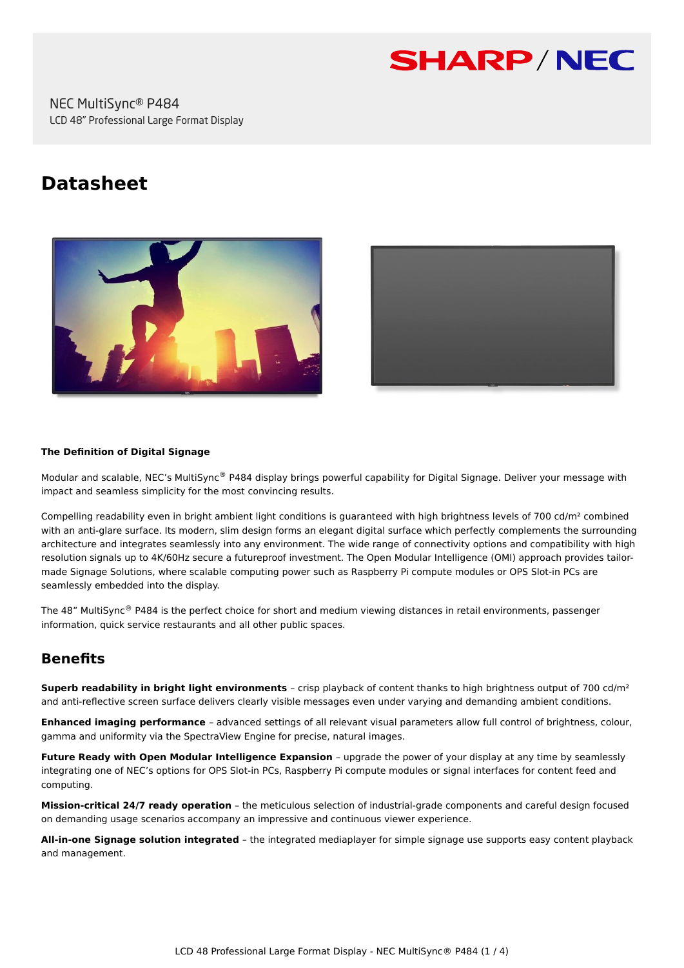

NEC MultiSync® P484 LCD 48" Professional Large Format Display

# **Datasheet**





#### **The Definition of Digital Signage**

Modular and scalable, NEC's MultiSync® P484 display brings powerful capability for Digital Signage. Deliver your message with impact and seamless simplicity for the most convincing results.

Compelling readability even in bright ambient light conditions is guaranteed with high brightness levels of 700 cd/m² combined with an anti-glare surface. Its modern, slim design forms an elegant digital surface which perfectly complements the surrounding architecture and integrates seamlessly into any environment. The wide range of connectivity options and compatibility with high resolution signals up to 4K/60Hz secure a futureproof investment. The Open Modular Intelligence (OMI) approach provides tailormade Signage Solutions, where scalable computing power such as Raspberry Pi compute modules or OPS Slot-in PCs are seamlessly embedded into the display.

The 48" MultiSync® P484 is the perfect choice for short and medium viewing distances in retail environments, passenger information, quick service restaurants and all other public spaces.

# **Benefits**

**Superb readability in bright light environments** – crisp playback of content thanks to high brightness output of 700 cd/m² and anti-reflective screen surface delivers clearly visible messages even under varying and demanding ambient conditions.

**Enhanced imaging performance** – advanced settings of all relevant visual parameters allow full control of brightness, colour, gamma and uniformity via the SpectraView Engine for precise, natural images.

**Future Ready with Open Modular Intelligence Expansion** – upgrade the power of your display at any time by seamlessly integrating one of NEC's options for OPS Slot-in PCs, Raspberry Pi compute modules or signal interfaces for content feed and computing.

**Mission-critical 24/7 ready operation** – the meticulous selection of industrial-grade components and careful design focused on demanding usage scenarios accompany an impressive and continuous viewer experience.

**All-in-one Signage solution integrated** – the integrated mediaplayer for simple signage use supports easy content playback and management.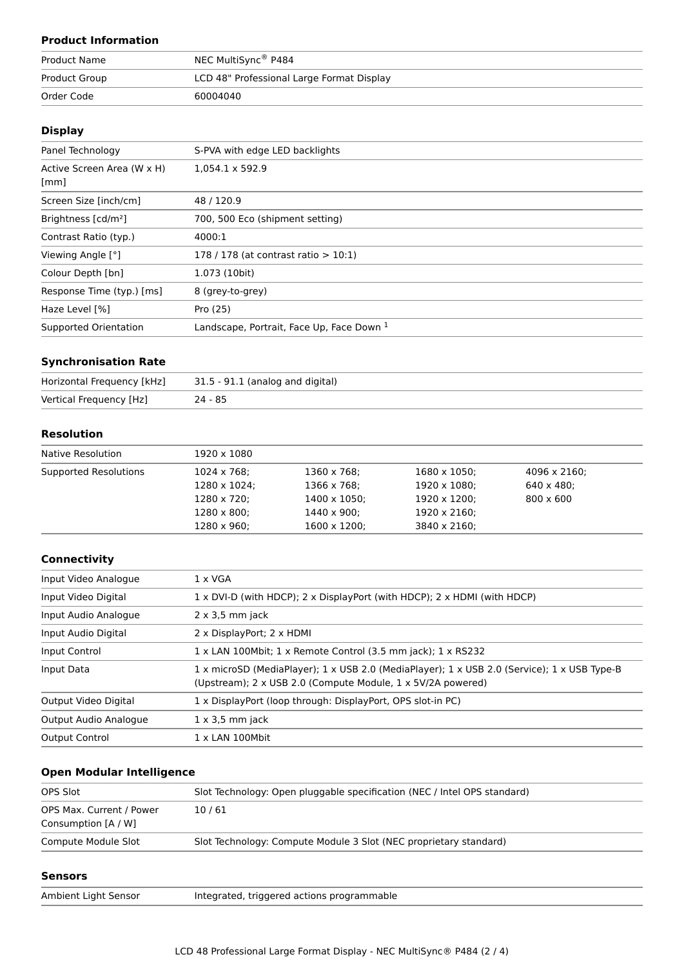# **Product Information**

| Product Name  | NEC MultiSync <sup>®</sup> P484           |  |
|---------------|-------------------------------------------|--|
| Product Group | LCD 48" Professional Large Format Display |  |
| Order Code    | 60004040                                  |  |

## **Display**

| Panel Technology                   | S-PVA with edge LED backlights            |
|------------------------------------|-------------------------------------------|
| Active Screen Area (W x H)<br>[mm] | 1,054.1 x 592.9                           |
| Screen Size [inch/cm]              | 48/120.9                                  |
| Brightness [cd/m <sup>2</sup> ]    | 700, 500 Eco (shipment setting)           |
| Contrast Ratio (typ.)              | 4000:1                                    |
| Viewing Angle [°]                  | 178 / 178 (at contrast ratio $> 10:1$ )   |
| Colour Depth [bn]                  | 1.073 (10bit)                             |
| Response Time (typ.) [ms]          | 8 (grey-to-grey)                          |
| Haze Level [%]                     | Pro (25)                                  |
| Supported Orientation              | Landscape, Portrait, Face Up, Face Down 1 |

#### **Synchronisation Rate**

| Horizontal Frequency [kHz] | 31.5 - 91.1 (analog and digital) |
|----------------------------|----------------------------------|
| Vertical Frequency [Hz]    | $24 - 85$                        |

# **Resolution**

| Native Resolution     | 1920 x 1080  |                      |                      |                      |  |
|-----------------------|--------------|----------------------|----------------------|----------------------|--|
| Supported Resolutions | 1024 x 768;  | 1360 x 768;          | $1680 \times 1050$ ; | $4096 \times 2160$ : |  |
|                       | 1280 x 1024; | 1366 x 768;          | $1920 \times 1080$ ; | $640 \times 480$ :   |  |
|                       | 1280 x 720;  | $1400 \times 1050$ ; | 1920 x 1200;         | $800 \times 600$     |  |
|                       | 1280 x 800;  | $1440 \times 900$ :  | 1920 x 2160;         |                      |  |
|                       | 1280 x 960;  | $1600 \times 1200$ ; | 3840 x 2160;         |                      |  |

#### **Connectivity**

| Input Video Analogue  | $1 \times VGA$                                                                                                                                             |  |
|-----------------------|------------------------------------------------------------------------------------------------------------------------------------------------------------|--|
| Input Video Digital   | 1 x DVI-D (with HDCP); 2 x DisplayPort (with HDCP); 2 x HDMI (with HDCP)                                                                                   |  |
| Input Audio Analogue  | $2 \times 3.5$ mm jack                                                                                                                                     |  |
| Input Audio Digital   | 2 x DisplayPort; 2 x HDMI                                                                                                                                  |  |
| Input Control         | 1 x LAN 100Mbit; 1 x Remote Control (3.5 mm jack); 1 x RS232                                                                                               |  |
| Input Data            | 1 x microSD (MediaPlayer); 1 x USB 2.0 (MediaPlayer); 1 x USB 2.0 (Service); 1 x USB Type-B<br>(Upstream); 2 x USB 2.0 (Compute Module, 1 x 5V/2A powered) |  |
| Output Video Digital  | 1 x DisplayPort (loop through: DisplayPort, OPS slot-in PC)                                                                                                |  |
| Output Audio Analogue | $1 \times 3.5$ mm jack                                                                                                                                     |  |
| <b>Output Control</b> | $1 \times$ LAN 100Mbit                                                                                                                                     |  |

## **Open Modular Intelligence**

| OPS Slot                                        | Slot Technology: Open pluggable specification (NEC / Intel OPS standard) |
|-------------------------------------------------|--------------------------------------------------------------------------|
| OPS Max. Current / Power<br>Consumption [A / W] | 10/61                                                                    |
| Compute Module Slot                             | Slot Technology: Compute Module 3 Slot (NEC proprietary standard)        |

#### **Sensors**

| Ambient Light Senso |  |  |
|---------------------|--|--|
|---------------------|--|--|

or and Integrated, triggered actions programmable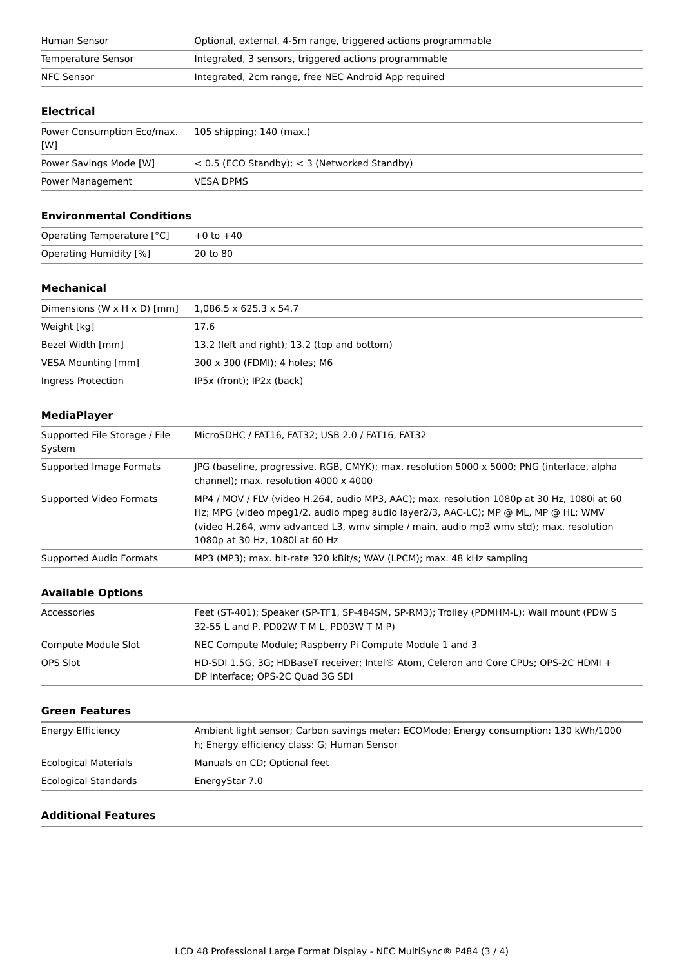| Human Sensor       | Optional, external, 4-5m range, triggered actions programmable |  |
|--------------------|----------------------------------------------------------------|--|
| Temperature Sensor | Integrated, 3 sensors, triggered actions programmable          |  |
| NFC Sensor         | Integrated, 2cm range, free NEC Android App required           |  |
|                    |                                                                |  |

# **Electrical**

| Power Consumption Eco/max.<br>[W] | 105 shipping; 140 (max.)                         |
|-----------------------------------|--------------------------------------------------|
| Power Savings Mode [W]            | $<$ 0.5 (ECO Standby); $<$ 3 (Networked Standby) |
| Power Management                  | <b>VESA DPMS</b>                                 |

#### **Environmental Conditions**

| Operating Temperature [°C] | $+0$ to $+40$ |
|----------------------------|---------------|
| Operating Humidity [%]     | 20 to 80      |

#### **Mechanical**

| Dimensions (W $\times$ H $\times$ D) [mm] | $1.086.5 \times 625.3 \times 54.7$           |
|-------------------------------------------|----------------------------------------------|
| Weight [kg]                               | 17.6                                         |
| Bezel Width [mm]                          | 13.2 (left and right); 13.2 (top and bottom) |
| VESA Mounting [mm]                        | 300 x 300 (FDMI); 4 holes; M6                |
| Ingress Protection                        | IP5x (front); IP2x (back)                    |

## **MediaPlayer**

| Supported File Storage / File<br>System | MicroSDHC / FAT16, FAT32; USB 2.0 / FAT16, FAT32                                                                                                                                                                                                                                                           |  |
|-----------------------------------------|------------------------------------------------------------------------------------------------------------------------------------------------------------------------------------------------------------------------------------------------------------------------------------------------------------|--|
| Supported Image Formats                 | JPG (baseline, progressive, RGB, CMYK); max. resolution 5000 x 5000; PNG (interlace, alpha<br>channel); max. resolution 4000 x 4000                                                                                                                                                                        |  |
| Supported Video Formats                 | MP4 / MOV / FLV (video H.264, audio MP3, AAC); max. resolution 1080p at 30 Hz, 1080i at 60<br>Hz; MPG (video mpeg1/2, audio mpeg audio layer2/3, AAC-LC); MP @ ML, MP @ HL; WMV<br>(video H.264, wmv advanced L3, wmv simple / main, audio mp3 wmv std); max. resolution<br>1080p at 30 Hz, 1080i at 60 Hz |  |
| Supported Audio Formats                 | MP3 (MP3); max. bit-rate 320 kBit/s; WAV (LPCM); max. 48 kHz sampling                                                                                                                                                                                                                                      |  |

# **Available Options**

| Accessories         | Feet (ST-401); Speaker (SP-TF1, SP-484SM, SP-RM3); Trolley (PDMHM-L); Wall mount (PDW S<br>32-55 L and P, PD02W T M L, PD03W T M P) |
|---------------------|-------------------------------------------------------------------------------------------------------------------------------------|
| Compute Module Slot | NEC Compute Module; Raspberry Pi Compute Module 1 and 3                                                                             |
| OPS Slot            | HD-SDI 1.5G, 3G; HDBaseT receiver; Intel® Atom, Celeron and Core CPUs; OPS-2C HDMI +<br>DP Interface: OPS-2C Ouad 3G SDI            |

#### **Green Features**

| Energy Efficiency           | Ambient light sensor; Carbon savings meter; ECOMode; Energy consumption: 130 kWh/1000<br>h; Energy efficiency class: G; Human Sensor |
|-----------------------------|--------------------------------------------------------------------------------------------------------------------------------------|
| <b>Ecological Materials</b> | Manuals on CD; Optional feet                                                                                                         |
| <b>Ecological Standards</b> | EnergyStar 7.0                                                                                                                       |

# **Additional Features**